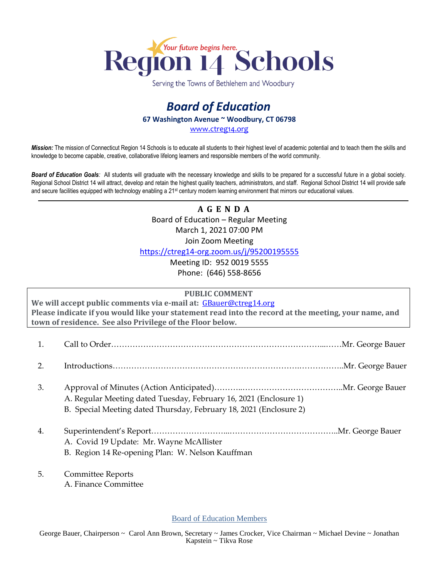

Serving the Towns of Bethlehem and Woodbury

## *Board of Education* **67 Washington Avenue ~ Woodbury, CT 06798**

[www.ctreg14.org](http://www.ctreg14.org/)

*Mission:* The mission of Connecticut Region 14 Schools is to educate all students to their highest level of academic potential and to teach them the skills and knowledge to become capable, creative, collaborative lifelong learners and responsible members of the world community.

*Board of Education Goals:* All students will graduate with the necessary knowledge and skills to be prepared for a successful future in a global society. Regional School District 14 will attract, develop and retain the highest quality teachers, administrators, and staff. Regional School District 14 will provide safe and secure facilities equipped with technology enabling a 21<sup>st</sup> century modern learning environment that mirrors our educational values.

> **A G E N D A** Board of Education – Regular Meeting March 1, 2021 07:00 PM Join Zoom Meeting <https://ctreg14-org.zoom.us/j/95200195555>

> > Meeting ID: 952 0019 5555 Phone: (646) 558-8656

## **PUBLIC COMMENT**

**We will accept public comments via e-mail at:** [GBauer@ctreg14.org](mailto:GBauer@ctreg14.org) **Please indicate if you would like your statement read into the record at the meeting, your name, and town of residence. See also Privilege of the Floor below.**

- 1. Call to Order……………………………………………………………………...……Mr. George Bauer
- 2. Introductions…………………………………………………………….……………..Mr. George Bauer
- 3. Approval of Minutes (Action Anticipated)………..………………………………..Mr. George Bauer A. Regular Meeting dated Tuesday, February 16, 2021 (Enclosure 1) B. Special Meeting dated Thursday, February 18, 2021 (Enclosure 2)
- 4. Superintendent's Report………………………...…………………………………..Mr. George Bauer A. Covid 19 Update: Mr. Wayne McAllister
	- B. Region 14 Re-opening Plan: W. Nelson Kauffman
- 5. Committee Reports A. Finance Committee

Board of Education Members